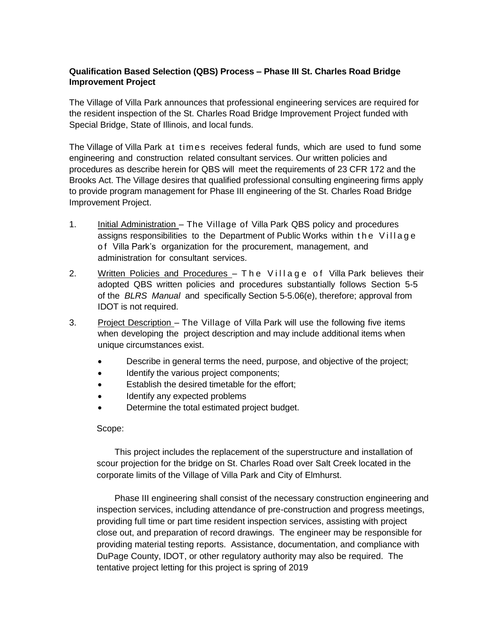## **Qualification Based Selection (QBS) Process – Phase III St. Charles Road Bridge Improvement Project**

The Village of Villa Park announces that professional engineering services are required for the resident inspection of the St. Charles Road Bridge Improvement Project funded with Special Bridge, State of Illinois, and local funds.

The Village of Villa Park at times receives federal funds, which are used to fund some engineering and construction related consultant services. Our written policies and procedures as describe herein for QBS will meet the requirements of 23 CFR 172 and the Brooks Act. The Village desires that qualified professional consulting engineering firms apply to provide program management for Phase III engineering of the St. Charles Road Bridge Improvement Project.

- 1. Initial Administration The Village of Villa Park QBS policy and procedures assigns responsibilities to the Department of Public Works within the Village o f Villa Park's organization for the procurement, management, and administration for consultant services.
- 2. Written Policies and Procedures The Village of Villa Park believes their adopted QBS written policies and procedures substantially follows Section 5-5 of the *BLRS Manual* and specifically Section 5-5.06(e), therefore; approval from IDOT is not required.
- 3. Project Description The Village of Villa Park will use the following five items when developing the project description and may include additional items when unique circumstances exist.
	- Describe in general terms the need, purpose, and objective of the project;
	- Identify the various project components;
	- Establish the desired timetable for the effort;
	- Identify any expected problems
	- Determine the total estimated project budget.

## Scope:

This project includes the replacement of the superstructure and installation of scour projection for the bridge on St. Charles Road over Salt Creek located in the corporate limits of the Village of Villa Park and City of Elmhurst.

Phase III engineering shall consist of the necessary construction engineering and inspection services, including attendance of pre-construction and progress meetings, providing full time or part time resident inspection services, assisting with project close out, and preparation of record drawings. The engineer may be responsible for providing material testing reports. Assistance, documentation, and compliance with DuPage County, IDOT, or other regulatory authority may also be required. The tentative project letting for this project is spring of 2019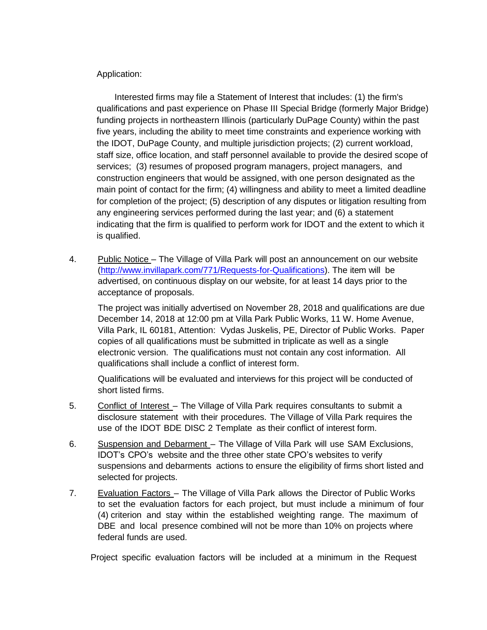## Application:

Interested firms may file a Statement of Interest that includes: (1) the firm's qualifications and past experience on Phase III Special Bridge (formerly Major Bridge) funding projects in northeastern Illinois (particularly DuPage County) within the past five years, including the ability to meet time constraints and experience working with the IDOT, DuPage County, and multiple jurisdiction projects; (2) current workload, staff size, office location, and staff personnel available to provide the desired scope of services; (3) resumes of proposed program managers, project managers, and construction engineers that would be assigned, with one person designated as the main point of contact for the firm; (4) willingness and ability to meet a limited deadline for completion of the project; (5) description of any disputes or litigation resulting from any engineering services performed during the last year; and (6) a statement indicating that the firm is qualified to perform work for IDOT and the extent to which it is qualified.

4. Public Notice – The Village of Villa Park will post an announcement on our website [\(http://www.invillapark.com/771/Requests-for-Qualifications\)](http://www.invillapark.com/771/Requests-for-Qualifications). The item will be advertised, on continuous display on our website, for at least 14 days prior to the acceptance of proposals.

The project was initially advertised on November 28, 2018 and qualifications are due December 14, 2018 at 12:00 pm at Villa Park Public Works, 11 W. Home Avenue, Villa Park, IL 60181, Attention: Vydas Juskelis, PE, Director of Public Works. Paper copies of all qualifications must be submitted in triplicate as well as a single electronic version. The qualifications must not contain any cost information. All qualifications shall include a conflict of interest form.

Qualifications will be evaluated and interviews for this project will be conducted of short listed firms.

- 5. Conflict of Interest The Village of Villa Park requires consultants to submit a disclosure statement with their procedures. The Village of Villa Park requires the use of the IDOT BDE DISC 2 Template as their conflict of interest form.
- 6. Suspension and Debarment The Village of Villa Park will use SAM Exclusions, IDOT's CPO's website and the three other state CPO's websites to verify suspensions and debarments actions to ensure the eligibility of firms short listed and selected for projects.
- 7. Evaluation Factors The Village of Villa Park allows the Director of Public Works to set the evaluation factors for each project, but must include a minimum of four (4) criterion and stay within the established weighting range. The maximum of DBE and local presence combined will not be more than 10% on projects where federal funds are used.

Project specific evaluation factors will be included at a minimum in the Request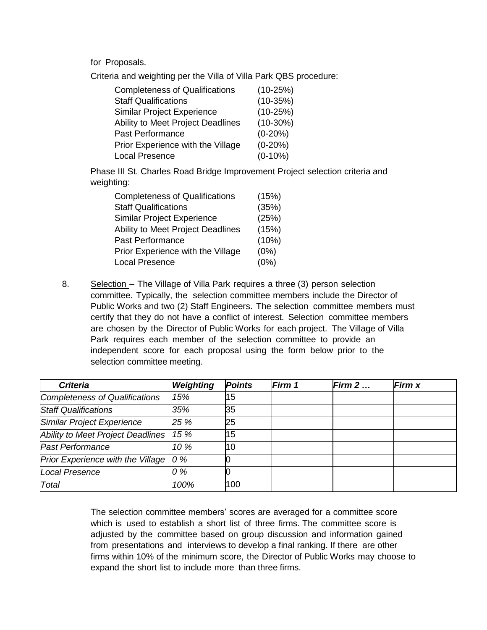for Proposals.

Criteria and weighting per the Villa of Villa Park QBS procedure:

| <b>Completeness of Qualifications</b> | $(10-25%)$ |
|---------------------------------------|------------|
| <b>Staff Qualifications</b>           | $(10-35%)$ |
| <b>Similar Project Experience</b>     | $(10-25%)$ |
| Ability to Meet Project Deadlines     | $(10-30%)$ |
| <b>Past Performance</b>               | $(0-20%)$  |
| Prior Experience with the Village     | $(0-20%)$  |
| <b>Local Presence</b>                 | $(0-10\%)$ |

Phase III St. Charles Road Bridge Improvement Project selection criteria and weighting:

| <b>Completeness of Qualifications</b> | (15%) |
|---------------------------------------|-------|
| <b>Staff Qualifications</b>           | (35%) |
| <b>Similar Project Experience</b>     | (25%) |
| Ability to Meet Project Deadlines     | (15%) |
| <b>Past Performance</b>               | (10%) |
| Prior Experience with the Village     | (0%)  |
| <b>Local Presence</b>                 | (0%)  |

8. Selection – The Village of Villa Park requires a three (3) person selection committee. Typically, the selection committee members include the Director of Public Works and two (2) Staff Engineers. The selection committee members must certify that they do not have a conflict of interest. Selection committee members are chosen by the Director of Public Works for each project. The Village of Villa Park requires each member of the selection committee to provide an independent score for each proposal using the form below prior to the selection committee meeting.

| <b>Criteria</b>                   | Weighting | <b>Points</b> | Firm 1 | Firm $2 \dots$ | <b>Firm</b> x |
|-----------------------------------|-----------|---------------|--------|----------------|---------------|
| Completeness of Qualifications    | 15%       | 15            |        |                |               |
| <b>Staff Qualifications</b>       | 35%       | 35            |        |                |               |
| Similar Project Experience        | 25 %      | 25            |        |                |               |
| Ability to Meet Project Deadlines | 15 %      | 15            |        |                |               |
| <b>Past Performance</b>           | 10 %      | 10            |        |                |               |
| Prior Experience with the Village | 0 %       |               |        |                |               |
| Local Presence                    | 0 %       |               |        |                |               |
| Total                             | 100%      | 100           |        |                |               |

The selection committee members' scores are averaged for a committee score which is used to establish a short list of three firms. The committee score is adjusted by the committee based on group discussion and information gained from presentations and interviews to develop a final ranking. If there are other firms within 10% of the minimum score, the Director of Public Works may choose to expand the short list to include more than three firms.